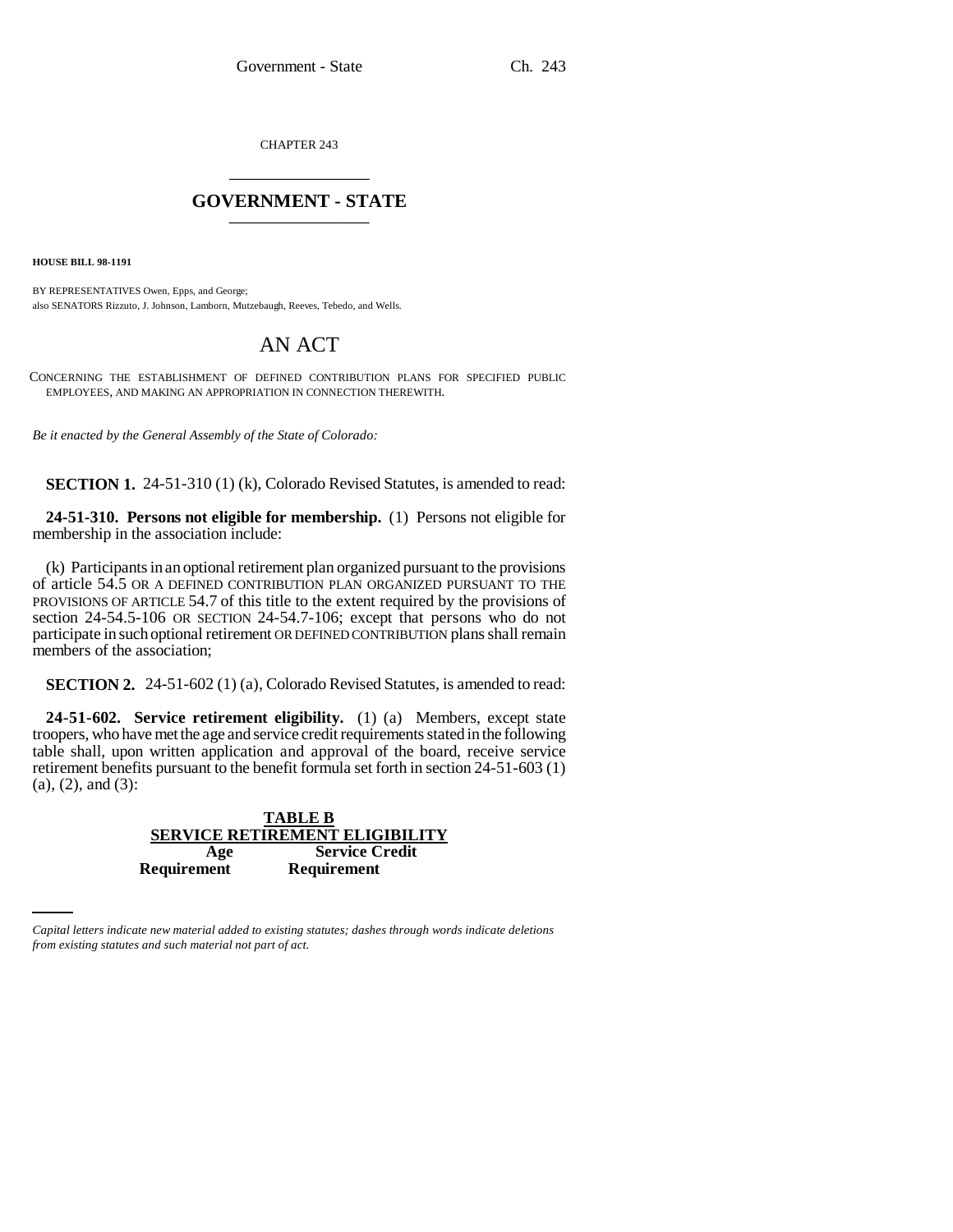CHAPTER 243 \_\_\_\_\_\_\_\_\_\_\_\_\_\_\_

## **GOVERNMENT - STATE** \_\_\_\_\_\_\_\_\_\_\_\_\_\_\_

**HOUSE BILL 98-1191**

BY REPRESENTATIVES Owen, Epps, and George; also SENATORS Rizzuto, J. Johnson, Lamborn, Mutzebaugh, Reeves, Tebedo, and Wells.

## AN ACT

CONCERNING THE ESTABLISHMENT OF DEFINED CONTRIBUTION PLANS FOR SPECIFIED PUBLIC EMPLOYEES, AND MAKING AN APPROPRIATION IN CONNECTION THEREWITH.

*Be it enacted by the General Assembly of the State of Colorado:*

**SECTION 1.** 24-51-310 (1) (k), Colorado Revised Statutes, is amended to read:

**24-51-310. Persons not eligible for membership.** (1) Persons not eligible for membership in the association include:

(k) Participants in an optional retirement plan organized pursuant to the provisions of article 54.5 OR A DEFINED CONTRIBUTION PLAN ORGANIZED PURSUANT TO THE PROVISIONS OF ARTICLE 54.7 of this title to the extent required by the provisions of section 24-54.5-106 OR SECTION 24-54.7-106; except that persons who do not participate in such optional retirement OR DEFINED CONTRIBUTION plans shall remain members of the association;

**SECTION 2.** 24-51-602 (1) (a), Colorado Revised Statutes, is amended to read:

**24-51-602. Service retirement eligibility.** (1) (a) Members, except state troopers, who have met the age and service credit requirements stated in the following table shall, upon written application and approval of the board, receive service retirement benefits pursuant to the benefit formula set forth in section 24-51-603 (1)  $(a)$ ,  $(2)$ , and  $(3)$ :

|                                       | <b>TABLE B</b>        |  |
|---------------------------------------|-----------------------|--|
| <b>SERVICE RETIREMENT ELIGIBILITY</b> |                       |  |
| Age                                   | <b>Service Credit</b> |  |
| <b>Requirement</b>                    | <b>Requirement</b>    |  |

*Capital letters indicate new material added to existing statutes; dashes through words indicate deletions from existing statutes and such material not part of act.*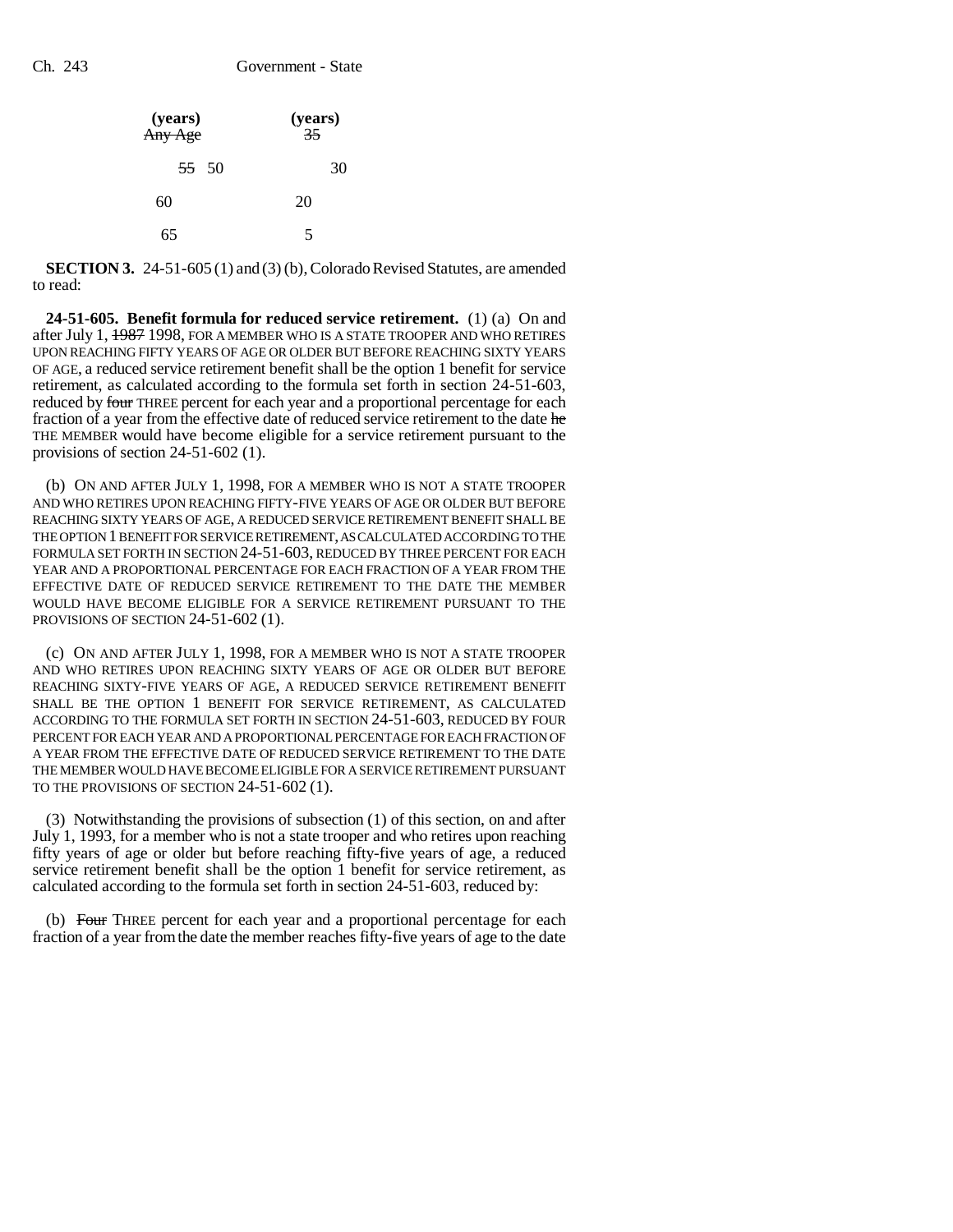| (years)<br>Any Age | (years) $\frac{35}{5}$ |
|--------------------|------------------------|
| $55 \t 50$         | 30                     |
| 60                 | 20                     |
| 65                 | 5                      |

**SECTION 3.** 24-51-605 (1) and (3) (b), Colorado Revised Statutes, are amended to read:

**24-51-605. Benefit formula for reduced service retirement.** (1) (a) On and after July 1, 1987 1998, FOR A MEMBER WHO IS A STATE TROOPER AND WHO RETIRES UPON REACHING FIFTY YEARS OF AGE OR OLDER BUT BEFORE REACHING SIXTY YEARS OF AGE, a reduced service retirement benefit shall be the option 1 benefit for service retirement, as calculated according to the formula set forth in section 24-51-603, reduced by four THREE percent for each year and a proportional percentage for each fraction of a year from the effective date of reduced service retirement to the date he THE MEMBER would have become eligible for a service retirement pursuant to the provisions of section 24-51-602 (1).

(b) ON AND AFTER JULY 1, 1998, FOR A MEMBER WHO IS NOT A STATE TROOPER AND WHO RETIRES UPON REACHING FIFTY-FIVE YEARS OF AGE OR OLDER BUT BEFORE REACHING SIXTY YEARS OF AGE, A REDUCED SERVICE RETIREMENT BENEFIT SHALL BE THE OPTION 1 BENEFIT FOR SERVICE RETIREMENT, AS CALCULATED ACCORDING TO THE FORMULA SET FORTH IN SECTION 24-51-603, REDUCED BY THREE PERCENT FOR EACH YEAR AND A PROPORTIONAL PERCENTAGE FOR EACH FRACTION OF A YEAR FROM THE EFFECTIVE DATE OF REDUCED SERVICE RETIREMENT TO THE DATE THE MEMBER WOULD HAVE BECOME ELIGIBLE FOR A SERVICE RETIREMENT PURSUANT TO THE PROVISIONS OF SECTION 24-51-602 (1).

(c) ON AND AFTER JULY 1, 1998, FOR A MEMBER WHO IS NOT A STATE TROOPER AND WHO RETIRES UPON REACHING SIXTY YEARS OF AGE OR OLDER BUT BEFORE REACHING SIXTY-FIVE YEARS OF AGE, A REDUCED SERVICE RETIREMENT BENEFIT SHALL BE THE OPTION 1 BENEFIT FOR SERVICE RETIREMENT, AS CALCULATED ACCORDING TO THE FORMULA SET FORTH IN SECTION 24-51-603, REDUCED BY FOUR PERCENT FOR EACH YEAR AND A PROPORTIONAL PERCENTAGE FOR EACH FRACTION OF A YEAR FROM THE EFFECTIVE DATE OF REDUCED SERVICE RETIREMENT TO THE DATE THE MEMBER WOULD HAVE BECOME ELIGIBLE FOR A SERVICE RETIREMENT PURSUANT TO THE PROVISIONS OF SECTION 24-51-602 (1).

(3) Notwithstanding the provisions of subsection (1) of this section, on and after July 1, 1993, for a member who is not a state trooper and who retires upon reaching fifty years of age or older but before reaching fifty-five years of age, a reduced service retirement benefit shall be the option 1 benefit for service retirement, as calculated according to the formula set forth in section 24-51-603, reduced by:

(b) Four THREE percent for each year and a proportional percentage for each fraction of a year from the date the member reaches fifty-five years of age to the date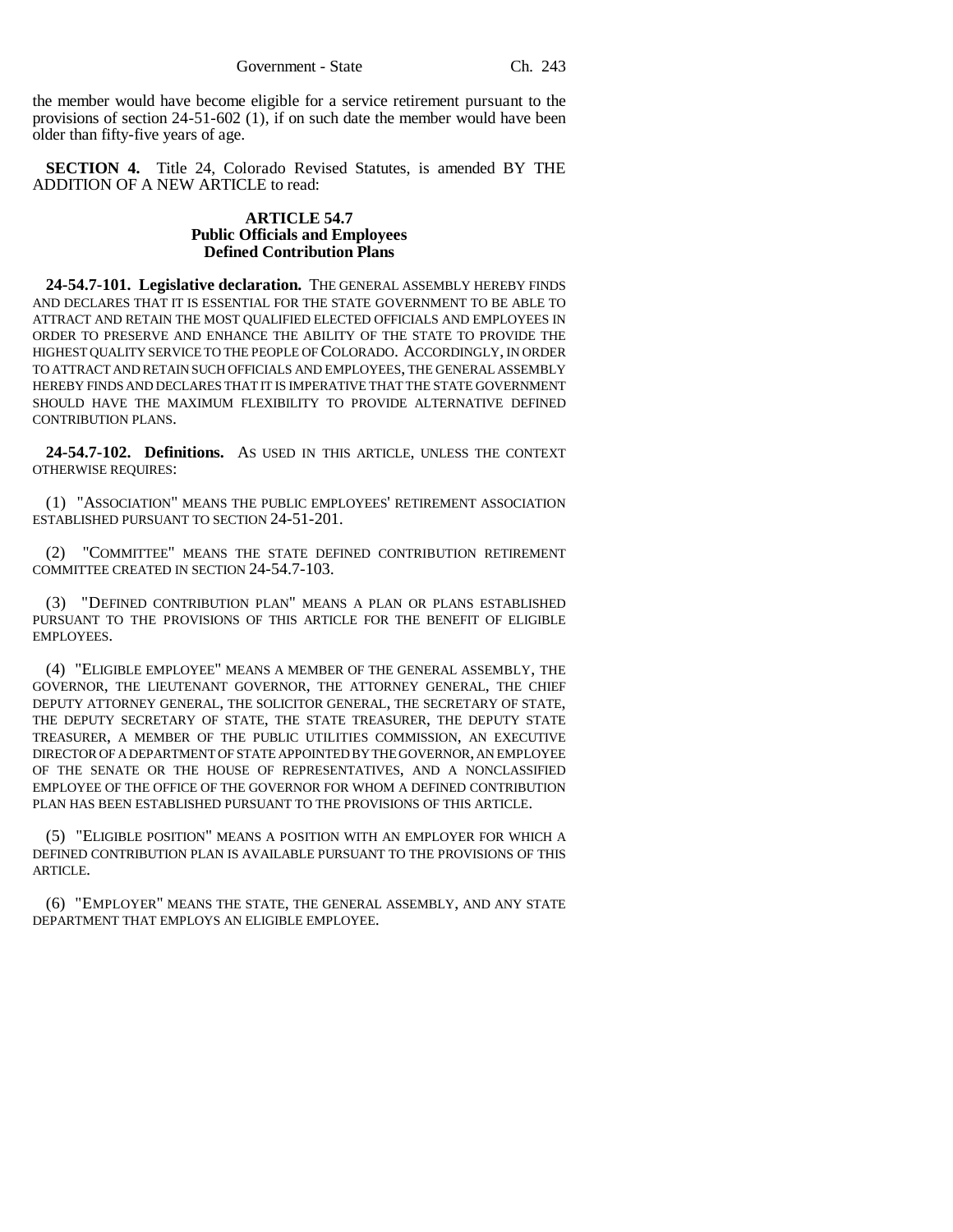the member would have become eligible for a service retirement pursuant to the provisions of section 24-51-602 (1), if on such date the member would have been older than fifty-five years of age.

**SECTION 4.** Title 24, Colorado Revised Statutes, is amended BY THE ADDITION OF A NEW ARTICLE to read:

## **ARTICLE 54.7 Public Officials and Employees Defined Contribution Plans**

**24-54.7-101. Legislative declaration.** THE GENERAL ASSEMBLY HEREBY FINDS AND DECLARES THAT IT IS ESSENTIAL FOR THE STATE GOVERNMENT TO BE ABLE TO ATTRACT AND RETAIN THE MOST QUALIFIED ELECTED OFFICIALS AND EMPLOYEES IN ORDER TO PRESERVE AND ENHANCE THE ABILITY OF THE STATE TO PROVIDE THE HIGHEST QUALITY SERVICE TO THE PEOPLE OF COLORADO. ACCORDINGLY, IN ORDER TO ATTRACT AND RETAIN SUCH OFFICIALS AND EMPLOYEES, THE GENERAL ASSEMBLY HEREBY FINDS AND DECLARES THAT IT IS IMPERATIVE THAT THE STATE GOVERNMENT SHOULD HAVE THE MAXIMUM FLEXIBILITY TO PROVIDE ALTERNATIVE DEFINED CONTRIBUTION PLANS.

**24-54.7-102. Definitions.** AS USED IN THIS ARTICLE, UNLESS THE CONTEXT OTHERWISE REQUIRES:

(1) "ASSOCIATION" MEANS THE PUBLIC EMPLOYEES' RETIREMENT ASSOCIATION ESTABLISHED PURSUANT TO SECTION 24-51-201.

(2) "COMMITTEE" MEANS THE STATE DEFINED CONTRIBUTION RETIREMENT COMMITTEE CREATED IN SECTION 24-54.7-103.

(3) "DEFINED CONTRIBUTION PLAN" MEANS A PLAN OR PLANS ESTABLISHED PURSUANT TO THE PROVISIONS OF THIS ARTICLE FOR THE BENEFIT OF ELIGIBLE EMPLOYEES.

(4) "ELIGIBLE EMPLOYEE" MEANS A MEMBER OF THE GENERAL ASSEMBLY, THE GOVERNOR, THE LIEUTENANT GOVERNOR, THE ATTORNEY GENERAL, THE CHIEF DEPUTY ATTORNEY GENERAL, THE SOLICITOR GENERAL, THE SECRETARY OF STATE, THE DEPUTY SECRETARY OF STATE, THE STATE TREASURER, THE DEPUTY STATE TREASURER, A MEMBER OF THE PUBLIC UTILITIES COMMISSION, AN EXECUTIVE DIRECTOR OF A DEPARTMENT OF STATE APPOINTED BY THE GOVERNOR, AN EMPLOYEE OF THE SENATE OR THE HOUSE OF REPRESENTATIVES, AND A NONCLASSIFIED EMPLOYEE OF THE OFFICE OF THE GOVERNOR FOR WHOM A DEFINED CONTRIBUTION PLAN HAS BEEN ESTABLISHED PURSUANT TO THE PROVISIONS OF THIS ARTICLE.

(5) "ELIGIBLE POSITION" MEANS A POSITION WITH AN EMPLOYER FOR WHICH A DEFINED CONTRIBUTION PLAN IS AVAILABLE PURSUANT TO THE PROVISIONS OF THIS ARTICLE.

(6) "EMPLOYER" MEANS THE STATE, THE GENERAL ASSEMBLY, AND ANY STATE DEPARTMENT THAT EMPLOYS AN ELIGIBLE EMPLOYEE.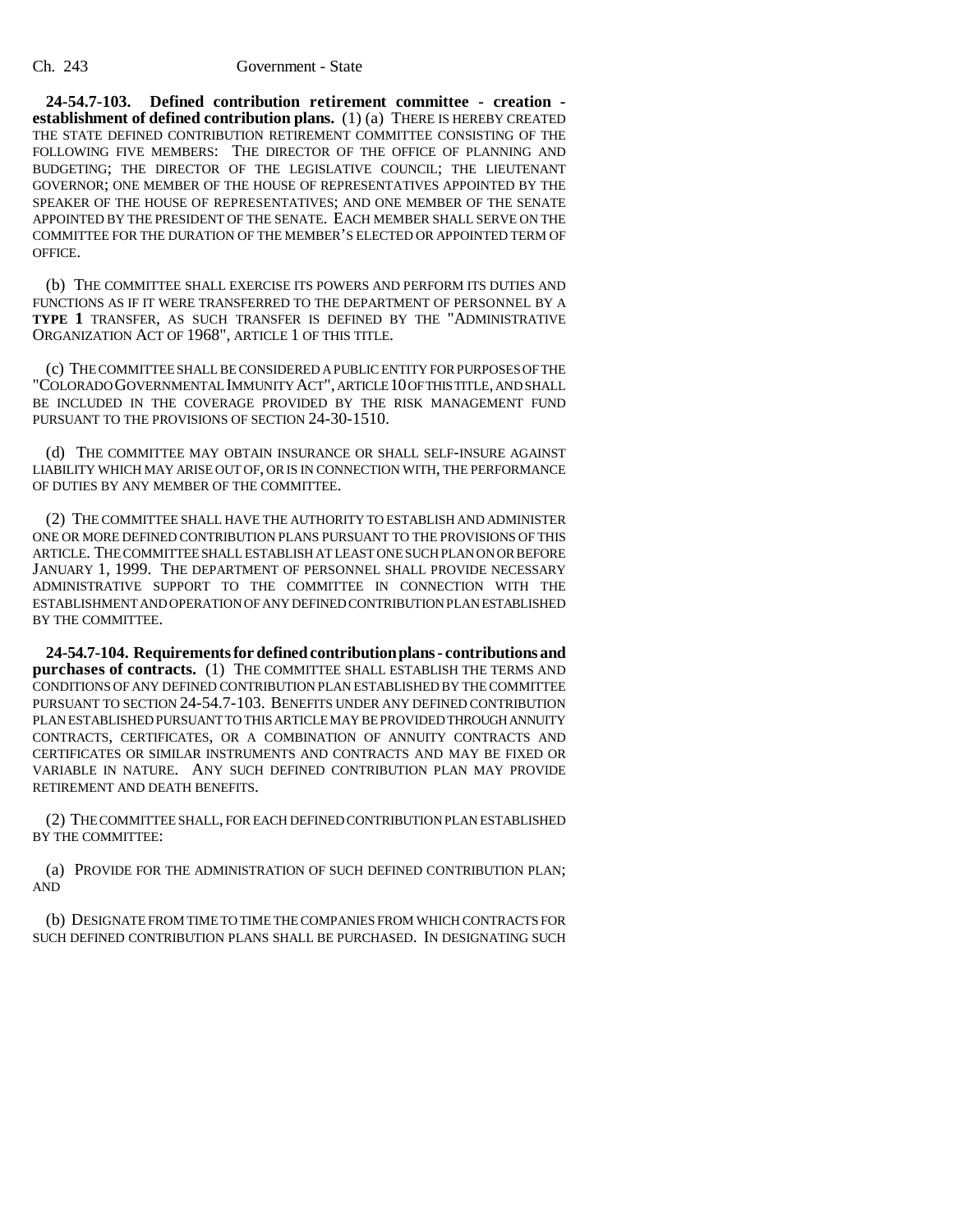**24-54.7-103. Defined contribution retirement committee - creation establishment of defined contribution plans.** (1) (a) THERE IS HEREBY CREATED THE STATE DEFINED CONTRIBUTION RETIREMENT COMMITTEE CONSISTING OF THE FOLLOWING FIVE MEMBERS: THE DIRECTOR OF THE OFFICE OF PLANNING AND BUDGETING; THE DIRECTOR OF THE LEGISLATIVE COUNCIL; THE LIEUTENANT GOVERNOR; ONE MEMBER OF THE HOUSE OF REPRESENTATIVES APPOINTED BY THE SPEAKER OF THE HOUSE OF REPRESENTATIVES; AND ONE MEMBER OF THE SENATE APPOINTED BY THE PRESIDENT OF THE SENATE. EACH MEMBER SHALL SERVE ON THE COMMITTEE FOR THE DURATION OF THE MEMBER'S ELECTED OR APPOINTED TERM OF OFFICE.

(b) THE COMMITTEE SHALL EXERCISE ITS POWERS AND PERFORM ITS DUTIES AND FUNCTIONS AS IF IT WERE TRANSFERRED TO THE DEPARTMENT OF PERSONNEL BY A **TYPE 1** TRANSFER, AS SUCH TRANSFER IS DEFINED BY THE "ADMINISTRATIVE ORGANIZATION ACT OF 1968", ARTICLE 1 OF THIS TITLE.

(c) THE COMMITTEE SHALL BE CONSIDERED A PUBLIC ENTITY FOR PURPOSES OF THE "COLORADO GOVERNMENTAL IMMUNITY ACT", ARTICLE 10 OF THIS TITLE, AND SHALL BE INCLUDED IN THE COVERAGE PROVIDED BY THE RISK MANAGEMENT FUND PURSUANT TO THE PROVISIONS OF SECTION 24-30-1510.

(d) THE COMMITTEE MAY OBTAIN INSURANCE OR SHALL SELF-INSURE AGAINST LIABILITY WHICH MAY ARISE OUT OF, OR IS IN CONNECTION WITH, THE PERFORMANCE OF DUTIES BY ANY MEMBER OF THE COMMITTEE.

(2) THE COMMITTEE SHALL HAVE THE AUTHORITY TO ESTABLISH AND ADMINISTER ONE OR MORE DEFINED CONTRIBUTION PLANS PURSUANT TO THE PROVISIONS OF THIS ARTICLE. THE COMMITTEE SHALL ESTABLISH AT LEAST ONE SUCH PLAN ON OR BEFORE JANUARY 1, 1999. THE DEPARTMENT OF PERSONNEL SHALL PROVIDE NECESSARY ADMINISTRATIVE SUPPORT TO THE COMMITTEE IN CONNECTION WITH THE ESTABLISHMENT AND OPERATION OF ANY DEFINED CONTRIBUTION PLAN ESTABLISHED BY THE COMMITTEE.

**24-54.7-104. Requirements for defined contribution plans - contributions and purchases of contracts.** (1) THE COMMITTEE SHALL ESTABLISH THE TERMS AND CONDITIONS OF ANY DEFINED CONTRIBUTION PLAN ESTABLISHED BY THE COMMITTEE PURSUANT TO SECTION 24-54.7-103. BENEFITS UNDER ANY DEFINED CONTRIBUTION PLAN ESTABLISHED PURSUANT TO THIS ARTICLE MAY BE PROVIDED THROUGH ANNUITY CONTRACTS, CERTIFICATES, OR A COMBINATION OF ANNUITY CONTRACTS AND CERTIFICATES OR SIMILAR INSTRUMENTS AND CONTRACTS AND MAY BE FIXED OR VARIABLE IN NATURE. ANY SUCH DEFINED CONTRIBUTION PLAN MAY PROVIDE RETIREMENT AND DEATH BENEFITS.

(2) THE COMMITTEE SHALL, FOR EACH DEFINED CONTRIBUTION PLAN ESTABLISHED BY THE COMMITTEE:

(a) PROVIDE FOR THE ADMINISTRATION OF SUCH DEFINED CONTRIBUTION PLAN; AND

(b) DESIGNATE FROM TIME TO TIME THE COMPANIES FROM WHICH CONTRACTS FOR SUCH DEFINED CONTRIBUTION PLANS SHALL BE PURCHASED. IN DESIGNATING SUCH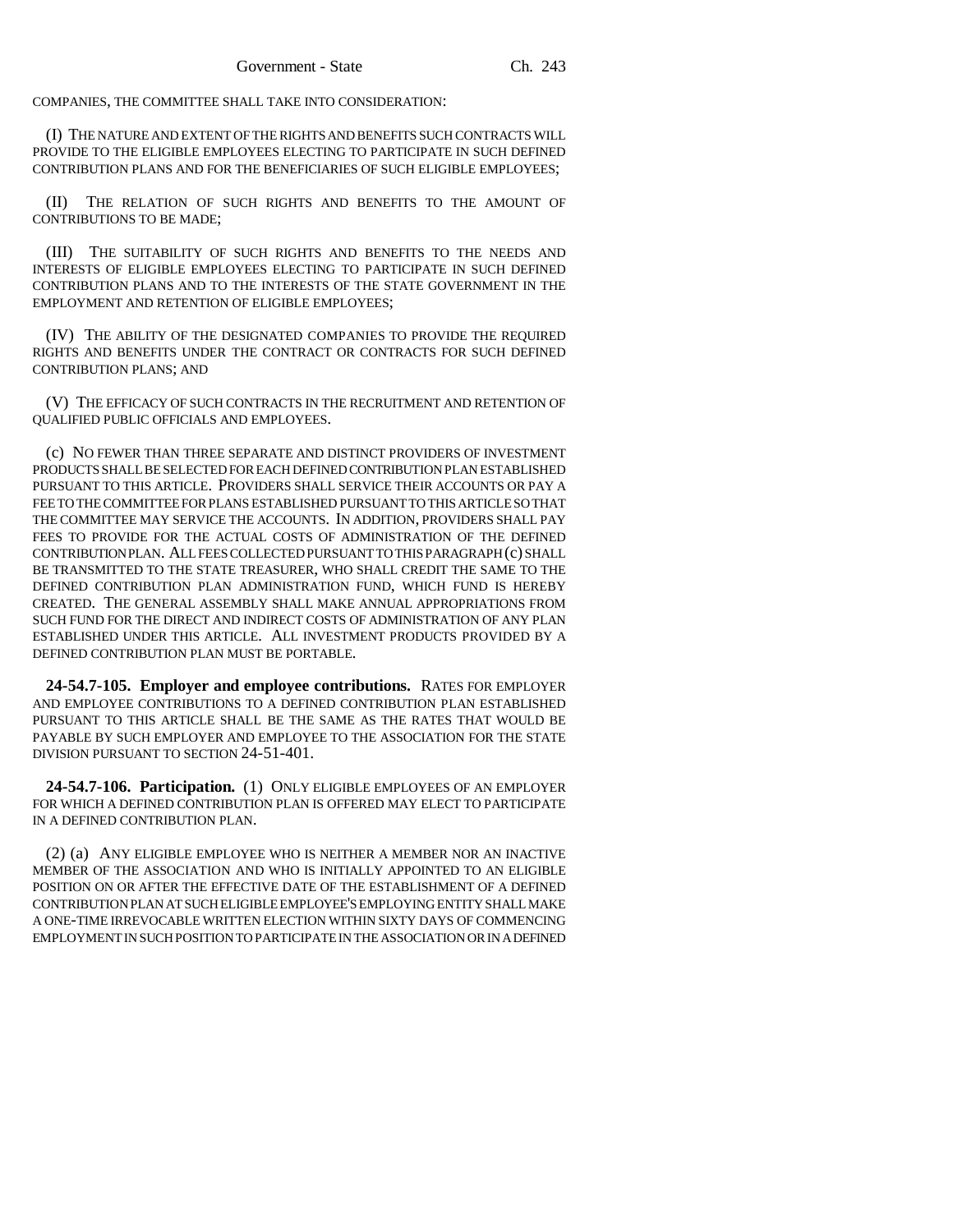COMPANIES, THE COMMITTEE SHALL TAKE INTO CONSIDERATION:

(I) THE NATURE AND EXTENT OF THE RIGHTS AND BENEFITS SUCH CONTRACTS WILL PROVIDE TO THE ELIGIBLE EMPLOYEES ELECTING TO PARTICIPATE IN SUCH DEFINED CONTRIBUTION PLANS AND FOR THE BENEFICIARIES OF SUCH ELIGIBLE EMPLOYEES;

(II) THE RELATION OF SUCH RIGHTS AND BENEFITS TO THE AMOUNT OF CONTRIBUTIONS TO BE MADE;

(III) THE SUITABILITY OF SUCH RIGHTS AND BENEFITS TO THE NEEDS AND INTERESTS OF ELIGIBLE EMPLOYEES ELECTING TO PARTICIPATE IN SUCH DEFINED CONTRIBUTION PLANS AND TO THE INTERESTS OF THE STATE GOVERNMENT IN THE EMPLOYMENT AND RETENTION OF ELIGIBLE EMPLOYEES;

(IV) THE ABILITY OF THE DESIGNATED COMPANIES TO PROVIDE THE REQUIRED RIGHTS AND BENEFITS UNDER THE CONTRACT OR CONTRACTS FOR SUCH DEFINED CONTRIBUTION PLANS; AND

(V) THE EFFICACY OF SUCH CONTRACTS IN THE RECRUITMENT AND RETENTION OF QUALIFIED PUBLIC OFFICIALS AND EMPLOYEES.

(c) NO FEWER THAN THREE SEPARATE AND DISTINCT PROVIDERS OF INVESTMENT PRODUCTS SHALL BE SELECTED FOR EACH DEFINED CONTRIBUTION PLAN ESTABLISHED PURSUANT TO THIS ARTICLE. PROVIDERS SHALL SERVICE THEIR ACCOUNTS OR PAY A FEE TO THE COMMITTEE FOR PLANS ESTABLISHED PURSUANT TO THIS ARTICLE SO THAT THE COMMITTEE MAY SERVICE THE ACCOUNTS. IN ADDITION, PROVIDERS SHALL PAY FEES TO PROVIDE FOR THE ACTUAL COSTS OF ADMINISTRATION OF THE DEFINED CONTRIBUTION PLAN. ALL FEES COLLECTED PURSUANT TO THIS PARAGRAPH (c) SHALL BE TRANSMITTED TO THE STATE TREASURER, WHO SHALL CREDIT THE SAME TO THE DEFINED CONTRIBUTION PLAN ADMINISTRATION FUND, WHICH FUND IS HEREBY CREATED. THE GENERAL ASSEMBLY SHALL MAKE ANNUAL APPROPRIATIONS FROM SUCH FUND FOR THE DIRECT AND INDIRECT COSTS OF ADMINISTRATION OF ANY PLAN ESTABLISHED UNDER THIS ARTICLE. ALL INVESTMENT PRODUCTS PROVIDED BY A DEFINED CONTRIBUTION PLAN MUST BE PORTABLE.

**24-54.7-105. Employer and employee contributions.** RATES FOR EMPLOYER AND EMPLOYEE CONTRIBUTIONS TO A DEFINED CONTRIBUTION PLAN ESTABLISHED PURSUANT TO THIS ARTICLE SHALL BE THE SAME AS THE RATES THAT WOULD BE PAYABLE BY SUCH EMPLOYER AND EMPLOYEE TO THE ASSOCIATION FOR THE STATE DIVISION PURSUANT TO SECTION 24-51-401.

**24-54.7-106. Participation.** (1) ONLY ELIGIBLE EMPLOYEES OF AN EMPLOYER FOR WHICH A DEFINED CONTRIBUTION PLAN IS OFFERED MAY ELECT TO PARTICIPATE IN A DEFINED CONTRIBUTION PLAN.

(2) (a) ANY ELIGIBLE EMPLOYEE WHO IS NEITHER A MEMBER NOR AN INACTIVE MEMBER OF THE ASSOCIATION AND WHO IS INITIALLY APPOINTED TO AN ELIGIBLE POSITION ON OR AFTER THE EFFECTIVE DATE OF THE ESTABLISHMENT OF A DEFINED CONTRIBUTION PLAN AT SUCH ELIGIBLE EMPLOYEE'S EMPLOYING ENTITY SHALL MAKE A ONE-TIME IRREVOCABLE WRITTEN ELECTION WITHIN SIXTY DAYS OF COMMENCING EMPLOYMENT IN SUCH POSITION TO PARTICIPATE IN THE ASSOCIATION OR IN A DEFINED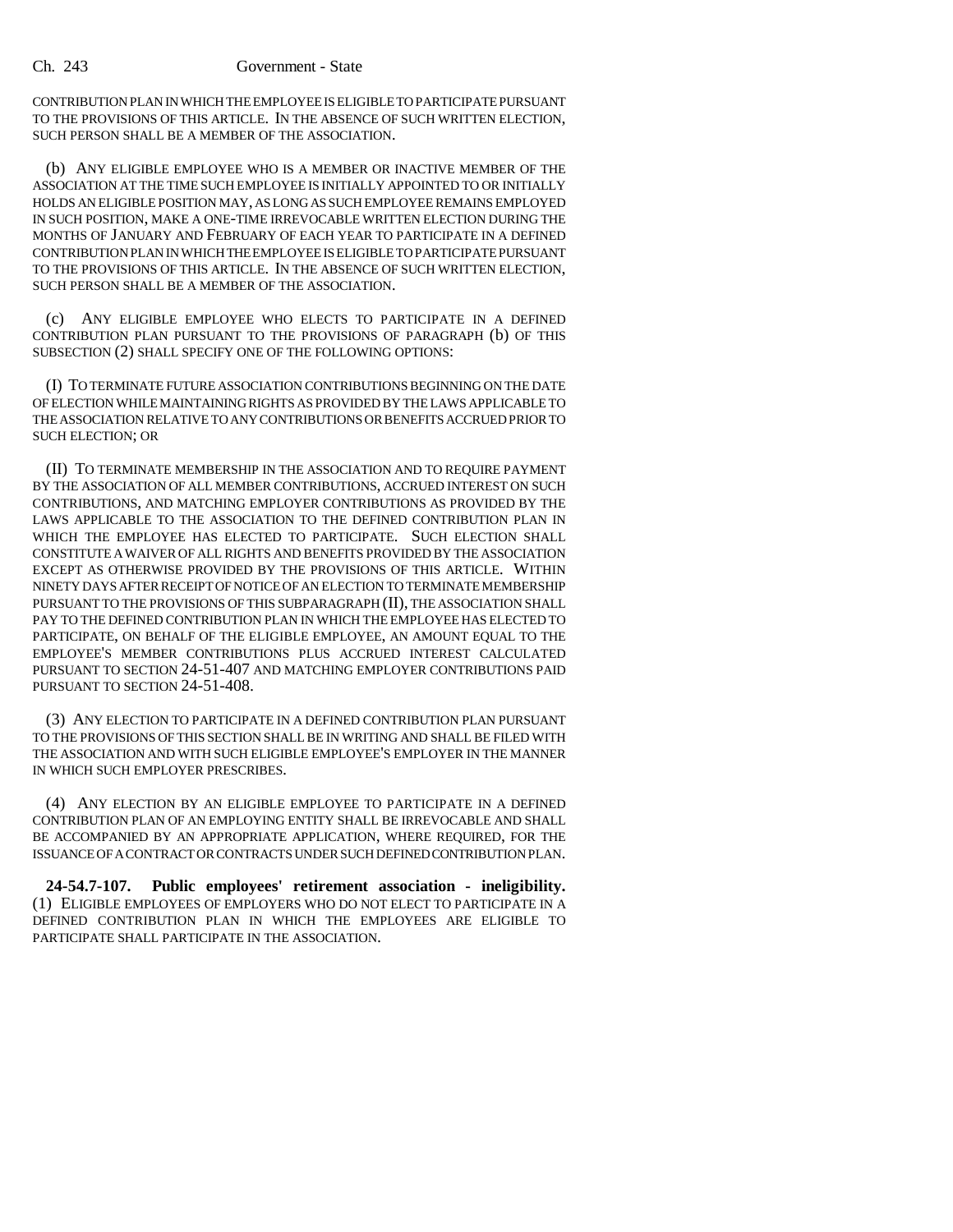CONTRIBUTION PLAN IN WHICH THE EMPLOYEE IS ELIGIBLE TO PARTICIPATE PURSUANT TO THE PROVISIONS OF THIS ARTICLE. IN THE ABSENCE OF SUCH WRITTEN ELECTION, SUCH PERSON SHALL BE A MEMBER OF THE ASSOCIATION.

(b) ANY ELIGIBLE EMPLOYEE WHO IS A MEMBER OR INACTIVE MEMBER OF THE ASSOCIATION AT THE TIME SUCH EMPLOYEE IS INITIALLY APPOINTED TO OR INITIALLY HOLDS AN ELIGIBLE POSITION MAY, AS LONG AS SUCH EMPLOYEE REMAINS EMPLOYED IN SUCH POSITION, MAKE A ONE-TIME IRREVOCABLE WRITTEN ELECTION DURING THE MONTHS OF JANUARY AND FEBRUARY OF EACH YEAR TO PARTICIPATE IN A DEFINED CONTRIBUTION PLAN IN WHICH THE EMPLOYEE IS ELIGIBLE TO PARTICIPATE PURSUANT TO THE PROVISIONS OF THIS ARTICLE. IN THE ABSENCE OF SUCH WRITTEN ELECTION, SUCH PERSON SHALL BE A MEMBER OF THE ASSOCIATION.

(c) ANY ELIGIBLE EMPLOYEE WHO ELECTS TO PARTICIPATE IN A DEFINED CONTRIBUTION PLAN PURSUANT TO THE PROVISIONS OF PARAGRAPH (b) OF THIS SUBSECTION (2) SHALL SPECIFY ONE OF THE FOLLOWING OPTIONS:

(I) TO TERMINATE FUTURE ASSOCIATION CONTRIBUTIONS BEGINNING ON THE DATE OF ELECTION WHILE MAINTAINING RIGHTS AS PROVIDED BY THE LAWS APPLICABLE TO THE ASSOCIATION RELATIVE TO ANY CONTRIBUTIONS OR BENEFITS ACCRUED PRIOR TO SUCH ELECTION; OR

(II) TO TERMINATE MEMBERSHIP IN THE ASSOCIATION AND TO REQUIRE PAYMENT BY THE ASSOCIATION OF ALL MEMBER CONTRIBUTIONS, ACCRUED INTEREST ON SUCH CONTRIBUTIONS, AND MATCHING EMPLOYER CONTRIBUTIONS AS PROVIDED BY THE LAWS APPLICABLE TO THE ASSOCIATION TO THE DEFINED CONTRIBUTION PLAN IN WHICH THE EMPLOYEE HAS ELECTED TO PARTICIPATE. SUCH ELECTION SHALL CONSTITUTE A WAIVER OF ALL RIGHTS AND BENEFITS PROVIDED BY THE ASSOCIATION EXCEPT AS OTHERWISE PROVIDED BY THE PROVISIONS OF THIS ARTICLE. WITHIN NINETY DAYS AFTER RECEIPT OF NOTICE OF AN ELECTION TO TERMINATE MEMBERSHIP PURSUANT TO THE PROVISIONS OF THIS SUBPARAGRAPH (II), THE ASSOCIATION SHALL PAY TO THE DEFINED CONTRIBUTION PLAN IN WHICH THE EMPLOYEE HAS ELECTED TO PARTICIPATE, ON BEHALF OF THE ELIGIBLE EMPLOYEE, AN AMOUNT EQUAL TO THE EMPLOYEE'S MEMBER CONTRIBUTIONS PLUS ACCRUED INTEREST CALCULATED PURSUANT TO SECTION 24-51-407 AND MATCHING EMPLOYER CONTRIBUTIONS PAID PURSUANT TO SECTION 24-51-408.

(3) ANY ELECTION TO PARTICIPATE IN A DEFINED CONTRIBUTION PLAN PURSUANT TO THE PROVISIONS OF THIS SECTION SHALL BE IN WRITING AND SHALL BE FILED WITH THE ASSOCIATION AND WITH SUCH ELIGIBLE EMPLOYEE'S EMPLOYER IN THE MANNER IN WHICH SUCH EMPLOYER PRESCRIBES.

(4) ANY ELECTION BY AN ELIGIBLE EMPLOYEE TO PARTICIPATE IN A DEFINED CONTRIBUTION PLAN OF AN EMPLOYING ENTITY SHALL BE IRREVOCABLE AND SHALL BE ACCOMPANIED BY AN APPROPRIATE APPLICATION, WHERE REQUIRED, FOR THE ISSUANCE OF A CONTRACT OR CONTRACTS UNDER SUCH DEFINED CONTRIBUTION PLAN.

**24-54.7-107. Public employees' retirement association - ineligibility.** (1) ELIGIBLE EMPLOYEES OF EMPLOYERS WHO DO NOT ELECT TO PARTICIPATE IN A DEFINED CONTRIBUTION PLAN IN WHICH THE EMPLOYEES ARE ELIGIBLE TO PARTICIPATE SHALL PARTICIPATE IN THE ASSOCIATION.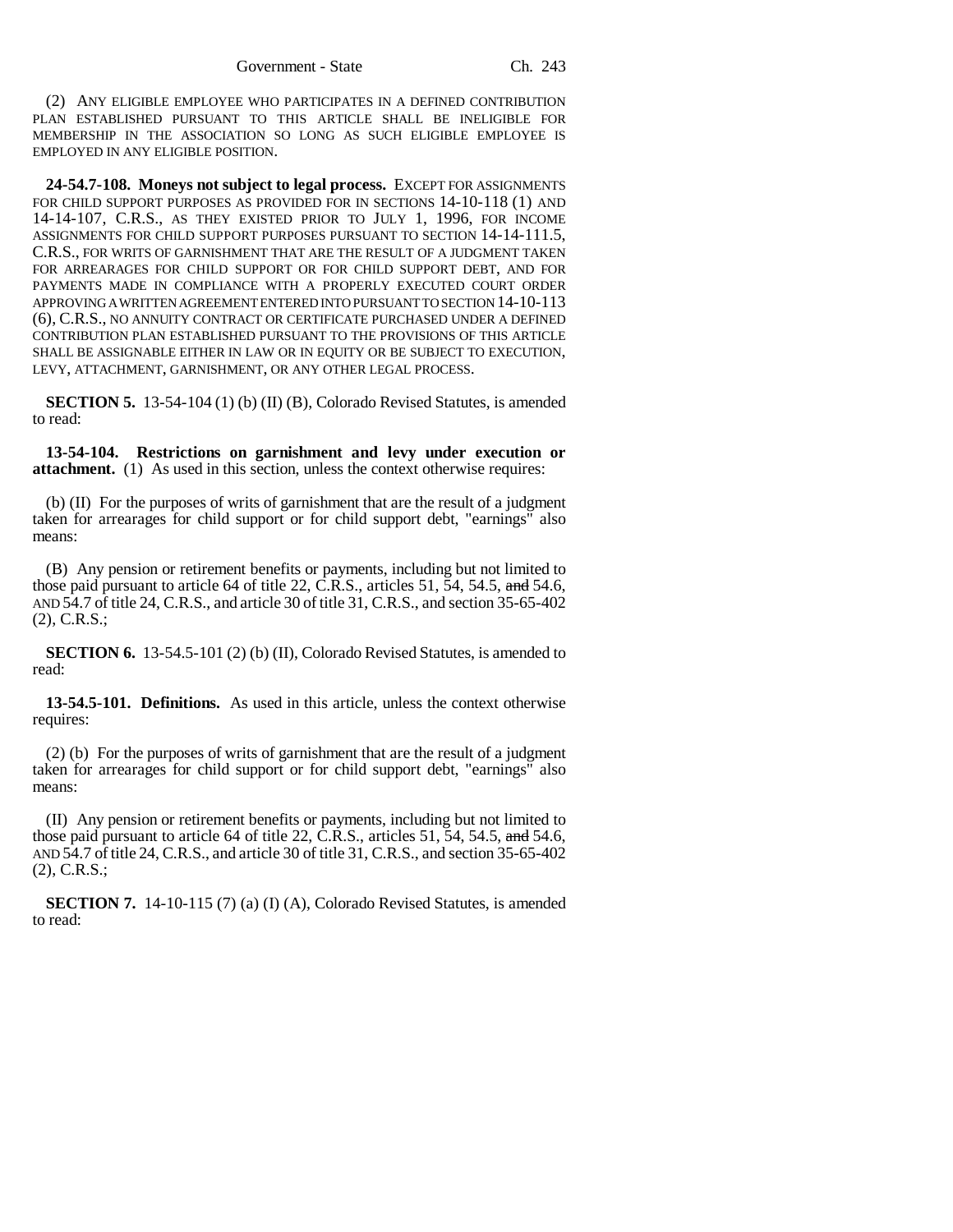(2) ANY ELIGIBLE EMPLOYEE WHO PARTICIPATES IN A DEFINED CONTRIBUTION PLAN ESTABLISHED PURSUANT TO THIS ARTICLE SHALL BE INELIGIBLE FOR MEMBERSHIP IN THE ASSOCIATION SO LONG AS SUCH ELIGIBLE EMPLOYEE IS EMPLOYED IN ANY ELIGIBLE POSITION.

**24-54.7-108. Moneys not subject to legal process.** EXCEPT FOR ASSIGNMENTS FOR CHILD SUPPORT PURPOSES AS PROVIDED FOR IN SECTIONS 14-10-118 (1) AND 14-14-107, C.R.S., AS THEY EXISTED PRIOR TO JULY 1, 1996, FOR INCOME ASSIGNMENTS FOR CHILD SUPPORT PURPOSES PURSUANT TO SECTION 14-14-111.5, C.R.S., FOR WRITS OF GARNISHMENT THAT ARE THE RESULT OF A JUDGMENT TAKEN FOR ARREARAGES FOR CHILD SUPPORT OR FOR CHILD SUPPORT DEBT, AND FOR PAYMENTS MADE IN COMPLIANCE WITH A PROPERLY EXECUTED COURT ORDER APPROVING A WRITTEN AGREEMENT ENTERED INTO PURSUANT TO SECTION 14-10-113 (6), C.R.S., NO ANNUITY CONTRACT OR CERTIFICATE PURCHASED UNDER A DEFINED CONTRIBUTION PLAN ESTABLISHED PURSUANT TO THE PROVISIONS OF THIS ARTICLE SHALL BE ASSIGNABLE EITHER IN LAW OR IN EQUITY OR BE SUBJECT TO EXECUTION, LEVY, ATTACHMENT, GARNISHMENT, OR ANY OTHER LEGAL PROCESS.

**SECTION 5.** 13-54-104 (1) (b) (II) (B), Colorado Revised Statutes, is amended to read:

**13-54-104. Restrictions on garnishment and levy under execution or attachment.** (1) As used in this section, unless the context otherwise requires:

(b) (II) For the purposes of writs of garnishment that are the result of a judgment taken for arrearages for child support or for child support debt, "earnings" also means:

(B) Any pension or retirement benefits or payments, including but not limited to those paid pursuant to article 64 of title 22, C.R.S., articles 51,  $\overline{5}4$ , 54.5, and 54.6, AND 54.7 of title 24, C.R.S., and article 30 of title 31, C.R.S., and section 35-65-402 (2), C.R.S.;

**SECTION 6.** 13-54.5-101 (2) (b) (II), Colorado Revised Statutes, is amended to read:

**13-54.5-101. Definitions.** As used in this article, unless the context otherwise requires:

(2) (b) For the purposes of writs of garnishment that are the result of a judgment taken for arrearages for child support or for child support debt, "earnings" also means:

(II) Any pension or retirement benefits or payments, including but not limited to those paid pursuant to article 64 of title 22, C.R.S., articles 51, 54, 54.5, and 54.6, AND 54.7 of title 24, C.R.S., and article 30 of title 31, C.R.S., and section 35-65-402 (2), C.R.S.;

**SECTION 7.** 14-10-115 (7) (a) (I) (A), Colorado Revised Statutes, is amended to read: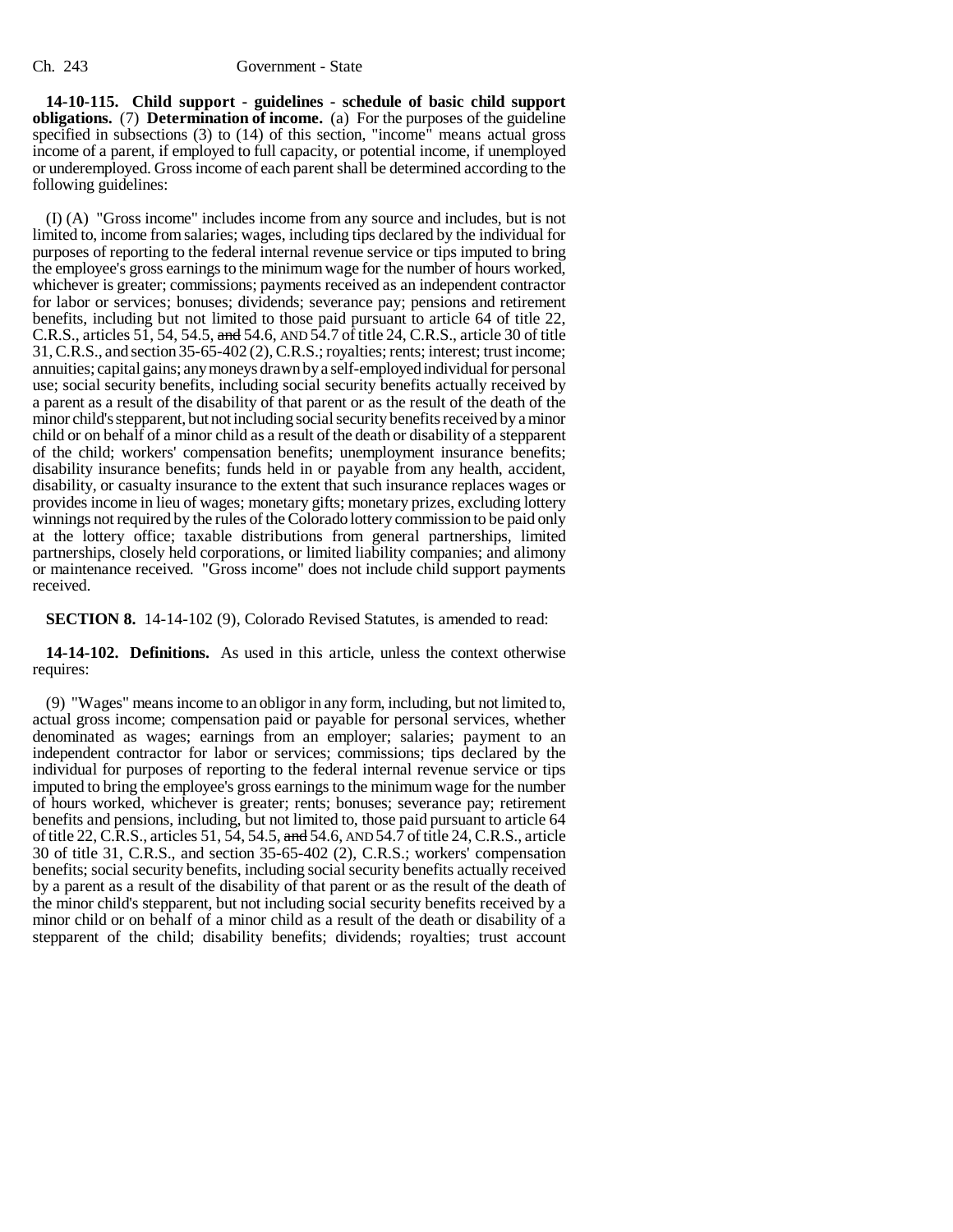**14-10-115. Child support - guidelines - schedule of basic child support obligations.** (7) **Determination of income.** (a) For the purposes of the guideline specified in subsections (3) to (14) of this section, "income" means actual gross income of a parent, if employed to full capacity, or potential income, if unemployed or underemployed. Gross income of each parent shall be determined according to the following guidelines:

(I) (A) "Gross income" includes income from any source and includes, but is not limited to, income from salaries; wages, including tips declared by the individual for purposes of reporting to the federal internal revenue service or tips imputed to bring the employee's gross earnings to the minimum wage for the number of hours worked, whichever is greater; commissions; payments received as an independent contractor for labor or services; bonuses; dividends; severance pay; pensions and retirement benefits, including but not limited to those paid pursuant to article 64 of title 22, C.R.S., articles 51, 54, 54.5, and 54.6, AND  $\overline{54}$ .7 of title 24, C.R.S., article 30 of title 31, C.R.S., and section 35-65-402 (2), C.R.S.; royalties; rents; interest; trust income; annuities; capital gains; any moneys drawn by a self-employed individual for personal use; social security benefits, including social security benefits actually received by a parent as a result of the disability of that parent or as the result of the death of the minor child's stepparent, but not including social security benefits received by a minor child or on behalf of a minor child as a result of the death or disability of a stepparent of the child; workers' compensation benefits; unemployment insurance benefits; disability insurance benefits; funds held in or payable from any health, accident, disability, or casualty insurance to the extent that such insurance replaces wages or provides income in lieu of wages; monetary gifts; monetary prizes, excluding lottery winnings not required by the rules of the Colorado lottery commission to be paid only at the lottery office; taxable distributions from general partnerships, limited partnerships, closely held corporations, or limited liability companies; and alimony or maintenance received. "Gross income" does not include child support payments received.

**SECTION 8.** 14-14-102 (9), Colorado Revised Statutes, is amended to read:

**14-14-102. Definitions.** As used in this article, unless the context otherwise requires:

(9) "Wages" means income to an obligor in any form, including, but not limited to, actual gross income; compensation paid or payable for personal services, whether denominated as wages; earnings from an employer; salaries; payment to an independent contractor for labor or services; commissions; tips declared by the individual for purposes of reporting to the federal internal revenue service or tips imputed to bring the employee's gross earnings to the minimum wage for the number of hours worked, whichever is greater; rents; bonuses; severance pay; retirement benefits and pensions, including, but not limited to, those paid pursuant to article 64 of title 22, C.R.S., articles 51, 54, 54.5, and 54.6, AND 54.7 of title 24, C.R.S., article 30 of title 31, C.R.S., and section 35-65-402 (2), C.R.S.; workers' compensation benefits; social security benefits, including social security benefits actually received by a parent as a result of the disability of that parent or as the result of the death of the minor child's stepparent, but not including social security benefits received by a minor child or on behalf of a minor child as a result of the death or disability of a stepparent of the child; disability benefits; dividends; royalties; trust account